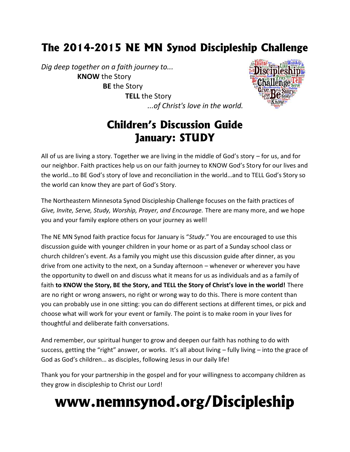### **The 2014-2015 NE MN Synod Discipleship Challenge**

*Dig deep together on a faith journey to...* **KNOW** the Story **BE** the Story **TELL** the Story *...of Christ's love in the world.*



### **Children's Discussion Guide January: STUDY**

All of us are living a story. Together we are living in the middle of God's story – for us, and for our neighbor. Faith practices help us on our faith journey to KNOW God's Story for our lives and the world…to BE God's story of love and reconciliation in the world…and to TELL God's Story so the world can know they are part of God's Story.

The Northeastern Minnesota Synod Discipleship Challenge focuses on the faith practices of *Give, Invite, Serve, Study, Worship, Prayer, and Encourage.* There are many more, and we hope you and your family explore others on your journey as well!

The NE MN Synod faith practice focus for January is "*Study*." You are encouraged to use this discussion guide with younger children in your home or as part of a Sunday school class or church children's event. As a family you might use this discussion guide after dinner, as you drive from one activity to the next, on a Sunday afternoon – whenever or wherever you have the opportunity to dwell on and discuss what it means for us as individuals and as a family of faith **to KNOW the Story, BE the Story, and TELL the Story of Christ's love in the world!** There are no right or wrong answers, no right or wrong way to do this. There is more content than you can probably use in one sitting: you can do different sections at different times, or pick and choose what will work for your event or family. The point is to make room in your lives for thoughtful and deliberate faith conversations.

And remember, our spiritual hunger to grow and deepen our faith has nothing to do with success, getting the "right" answer, or works. It's all about living – fully living – into the grace of God as God's children… as disciples, following Jesus in our daily life!

Thank you for your partnership in the gospel and for your willingness to accompany children as they grow in discipleship to Christ our Lord!

# **www.nemnsynod.org/Discipleship**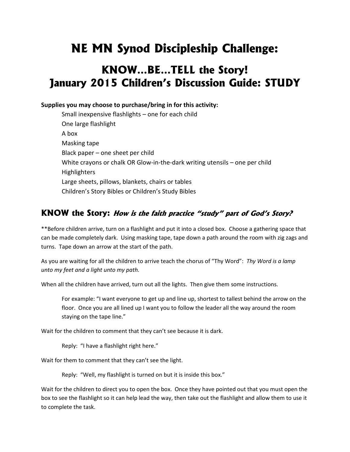## **NE MN Synod Discipleship Challenge:**

### **KNOW…BE…TELL the Story! January 2015 Children's Discussion Guide: STUDY**

#### **Supplies you may choose to purchase/bring in for this activity:**

Small inexpensive flashlights – one for each child One large flashlight A box Masking tape Black paper – one sheet per child White crayons or chalk OR Glow-in-the-dark writing utensils – one per child Highlighters Large sheets, pillows, blankets, chairs or tables Children's Story Bibles or Children's Study Bibles

#### **KNOW the Story:** *How is the faith practice "study" part of God's Story?*

\*\*Before children arrive, turn on a flashlight and put it into a closed box. Choose a gathering space that can be made completely dark. Using masking tape, tape down a path around the room with zig zags and turns. Tape down an arrow at the start of the path.

As you are waiting for all the children to arrive teach the chorus of "Thy Word": *Thy Word is a lamp unto my feet and a light unto my path.*

When all the children have arrived, turn out all the lights. Then give them some instructions.

For example: "I want everyone to get up and line up, shortest to tallest behind the arrow on the floor. Once you are all lined up I want you to follow the leader all the way around the room staying on the tape line."

Wait for the children to comment that they can't see because it is dark.

Reply: "I have a flashlight right here."

Wait for them to comment that they can't see the light.

Reply: "Well, my flashlight is turned on but it is inside this box."

Wait for the children to direct you to open the box. Once they have pointed out that you must open the box to see the flashlight so it can help lead the way, then take out the flashlight and allow them to use it to complete the task.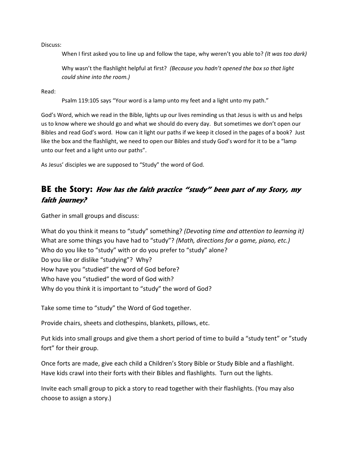Discuss:

When I first asked you to line up and follow the tape, why weren't you able to? *(It was too dark)*

Why wasn't the flashlight helpful at first? *(Because you hadn't opened the box so that light could shine into the room.)*

Read:

Psalm 119:105 says "Your word is a lamp unto my feet and a light unto my path."

God's Word, which we read in the Bible, lights up our lives reminding us that Jesus is with us and helps us to know where we should go and what we should do every day. But sometimes we don't open our Bibles and read God's word. How can it light our paths if we keep it closed in the pages of a book? Just like the box and the flashlight, we need to open our Bibles and study God's word for it to be a "lamp unto our feet and a light unto our paths".

As Jesus' disciples we are supposed to "Study" the word of God.

#### **BE the Story:** *How has the faith practice "study" been part of my Story, my faith journey?*

Gather in small groups and discuss:

What do you think it means to "study" something? *(Devoting time and attention to learning it)* What are some things you have had to "study"? *(Math, directions for a game, piano, etc.)* Who do you like to "study" with or do you prefer to "study" alone? Do you like or dislike "studying"? Why? How have you "studied" the word of God before? Who have you "studied" the word of God with? Why do you think it is important to "study" the word of God?

Take some time to "study" the Word of God together.

Provide chairs, sheets and clothespins, blankets, pillows, etc.

Put kids into small groups and give them a short period of time to build a "study tent" or "study fort" for their group.

Once forts are made, give each child a Children's Story Bible or Study Bible and a flashlight. Have kids crawl into their forts with their Bibles and flashlights. Turn out the lights.

Invite each small group to pick a story to read together with their flashlights. (You may also choose to assign a story.)